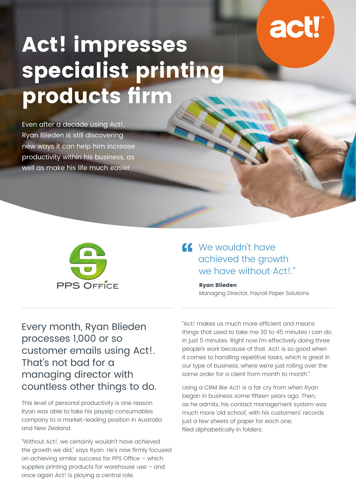# **act!**

# **Act! impresses specialist printing**  products firm

Even after a decade using Act!, Ryan Blieden is still discovering new ways it can help him increase productivity within his business, as well as make his life much easier.



## We wouldn't have achieved the growth we have without Act!."

**Ryan Blieden** Managing Director, Payroll Paper Solutions

Every month, Ryan Blieden processes 1,000 or so customer emails using Act!. That's not bad for a managing director with countless other things to do.

This level of personal productivity is one reason Ryan was able to take his payslip consumables company to a market-leading position in Australia and New Zealand.

"Without Act!, we certainly wouldn't have achieved the growth we did," says Ryan. He's now firmly focused on achieving similar success for PPS Office – which supplies printing products for warehouse use – and once again Act! is playing a central role.

"Act! makes us much more efficient and means things that used to take me 30 to 45 minutes I can do in just 5 minutes. Right now I'm effectively doing three people's work because of that. Act! is so good when it comes to handling repetitive tasks, which is great in our type of business, where we're just rolling over the same order for a client from month to month."

Using a CRM like Act! is a far cry from when Ryan began in business some fifteen years ago. Then, as he admits, his contact management system was much more 'old school', with his customers' records just a few sheets of paper for each one, filed alphabetically in folders.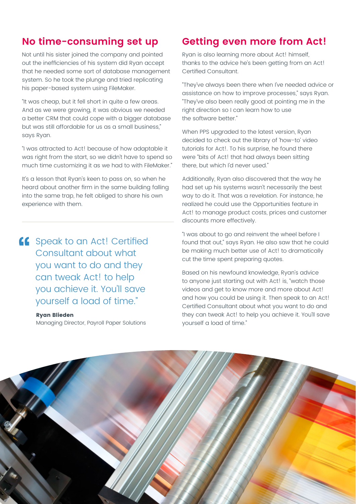### **No time-consuming set up**

Not until his sister joined the company and pointed out the inefficiencies of his system did Ryan accept that he needed some sort of database management system. So he took the plunge and tried replicating his paper-based system using FileMaker.

"It was cheap, but it fell short in quite a few areas. And as we were growing, it was obvious we needed a better CRM that could cope with a bigger database but was still affordable for us as a small business," says Ryan.

"I was attracted to Act! because of how adaptable it was right from the start, so we didn't have to spend so much time customizing it as we had to with FileMaker."

It's a lesson that Ryan's keen to pass on, so when he heard about another firm in the same building falling into the same trap, he felt obliged to share his own experience with them.

**ff** Speak to an Act! Certified Consultant about what you want to do and they can tweak Act! to help you achieve it. You'll save yourself a load of time."

#### **Ryan Blieden**

Managing Director, Payroll Paper Solutions

#### **Getting even more from Act!**

Ryan is also learning more about Act! himself, thanks to the advice he's been getting from an Act! Certified Consultant.

"They've always been there when I've needed advice or assistance on how to improve processes," says Ryan. "They've also been really good at pointing me in the right direction so I can learn how to use the software better."

When PPS upgraded to the latest version, Ryan decided to check out the library of 'how-to' video tutorials for Act!. To his surprise, he found there were "bits of Act! that had always been sitting there, but which I'd never used."

Additionally, Ryan also discovered that the way he had set up his systems wasn't necessarily the best way to do it. That was a revelation. For instance, he realized he could use the Opportunities feature in Act! to manage product costs, prices and customer discounts more effectively.

"I was about to go and reinvent the wheel before I found that out," says Ryan. He also saw that he could be making much better use of Act! to dramatically cut the time spent preparing quotes.

Based on his newfound knowledge, Ryan's advice to anyone just starting out with Act! is, "watch those videos and get to know more and more about Act! and how you could be using it. Then speak to an Act! Certified Consultant about what you want to do and they can tweak Act! to help you achieve it. You'll save yourself a load of time."